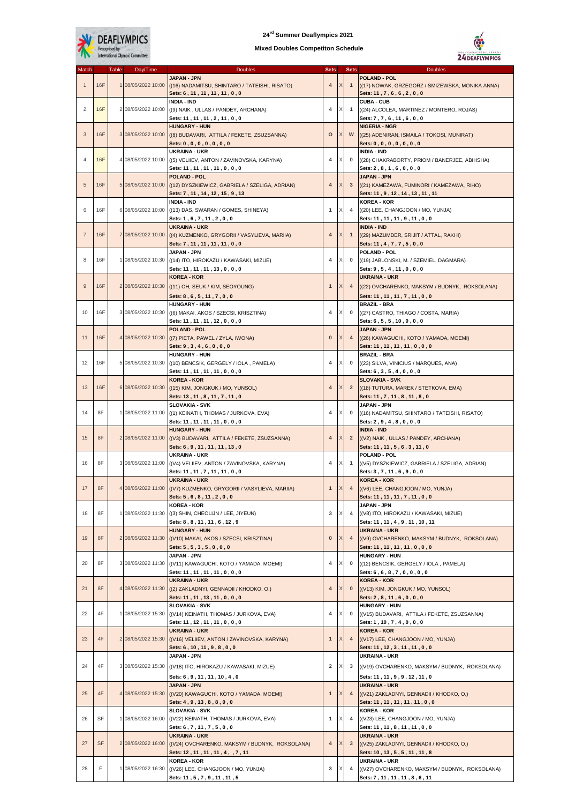

## **24rd Summer Deaflympics 2021**

## **Mixed Doubles Competiton Schedule**



| Match          |            | <b>Table</b> | Day/Time           | <b>Doubles</b>                                                                                | <b>Sets</b>    |   | <b>Sets</b>    | <b>Doubles</b>                                                                                       |
|----------------|------------|--------------|--------------------|-----------------------------------------------------------------------------------------------|----------------|---|----------------|------------------------------------------------------------------------------------------------------|
| $\mathbf{1}$   | 16F        |              | 1 08/05/2022 10:00 | JAPAN - JPN<br>((16) NADAMITSU, SHINTARO / TATEISHI, RISATO)<br>Sets: 6, 11, 11, 11, 11, 0, 0 | 4              |   | $\mathbf{1}$   | <b>POLAND - POL</b><br>((17) NOWAK, GRZEGORZ / SMIZEWSKA, MONIKA ANNA)<br>Sets: 11, 7, 6, 6, 2, 0, 0 |
| 2              | 16F        |              | 2 08/05/2022 10:00 | <b>INDIA - IND</b><br>((9) NAIK, ULLAS / PANDEY, ARCHANA)                                     | 4              |   | $\mathbf{1}$   | <b>CUBA - CUB</b><br>((24) ALCOLEA, MARTINEZ / MONTERO, ROJAS)                                       |
|                |            |              |                    | Sets: 11, 11, 11, 2, 11, 0, 0                                                                 |                |   |                | Sets: 7, 7, 6, 11, 6, 0, 0                                                                           |
|                |            |              |                    | <b>HUNGARY - HUN</b>                                                                          |                |   |                | <b>NIGERIA - NGR</b>                                                                                 |
| 3              | <b>16F</b> |              | 3 08/05/2022 10:00 | ((8) BUDAVARI, ATTILA / FEKETE, ZSUZSANNA)                                                    | $\circ$        |   | W              | ((25) ADENIRAN, ISMAILA / TOKOSI, MUNIRAT)                                                           |
|                |            |              |                    | Sets: 0, 0, 0, 0, 0, 0, 0, 0<br><b>UKRAINA - UKR</b>                                          |                |   |                | Sets: 0, 0, 0, 0, 0, 0, 0, 0<br><b>INDIA - IND</b>                                                   |
| 4              | <b>16F</b> |              | 4 08/05/2022 10:00 | ((5) VELIIEV, ANTON / ZAVINOVSKA, KARYNA)                                                     | 4              |   | 0              | ((28) CHAKRABORTY, PRIOM / BANERJEE, ABHISHA)                                                        |
|                |            |              |                    | Sets: 11, 11, 11, 11, 0, 0, 0                                                                 |                |   |                | Sets: 2, 8, 1, 6, 0, 0, 0                                                                            |
|                |            |              |                    | <b>POLAND - POL</b>                                                                           |                |   |                | JAPAN - JPN                                                                                          |
| 5              | <b>16F</b> |              | 5 08/05/2022 10:00 | ((12) DYSZKIEWICZ, GABRIELA / SZELIGA, ADRIAN)                                                | 4              |   | $\mathbf{3}$   | ((21) KAMEZAWA, FUMINORI / KAMEZAWA, RIHO)                                                           |
|                |            |              |                    | Sets: 7, 11, 14, 12, 15, 9, 13<br><b>INDIA - IND</b>                                          |                |   |                | Sets: 11, 9, 12, 14, 13, 11, 11<br><b>KOREA - KOR</b>                                                |
| 6              | 16F        |              | 6 08/05/2022 10:00 | ((13) DAS, SWARAN / GOMES, SHINEYA)                                                           | $\mathbf{1}$   |   | 4              | ((20) LEE, CHANGJOON / MO, YUNJA)                                                                    |
|                |            |              |                    | Sets: 1, 6, 7, 11, 2, 0, 0                                                                    |                |   |                | Sets: 11, 11, 11, 9, 11, 0, 0                                                                        |
|                |            |              | 7 08/05/2022 10:00 | <b>UKRAINA - UKR</b>                                                                          |                |   |                | <b>INDIA - IND</b>                                                                                   |
| $\overline{7}$ | <b>16F</b> |              |                    | ((4) KUZMENKO, GRYGORII / VASYLIEVA, MARIIA)                                                  | $\overline{4}$ |   | $\mathbf{1}$   | ((29) MAZUMDER, SRIJIT / ATTAL, RAKHI)                                                               |
|                |            |              |                    | Sets: 7, 11, 11, 11, 11, 0, 0<br><b>JAPAN - JPN</b>                                           |                |   |                | Sets: 11, 4, 7, 7, 5, 0, 0<br>POLAND - POL                                                           |
| 8              | 16F        |              | 1 08/05/2022 10:30 | ((14) ITO, HIROKAZU / KAWASAKI, MIZUE)                                                        | $\overline{4}$ |   | 0              | ((19) JABLONSKI, M. / SZEMIEL, DAGMARA)                                                              |
|                |            |              |                    | Sets: 11, 11, 11, 13, 0, 0, 0                                                                 |                |   |                | Sets: 9, 5, 4, 11, 0, 0, 0                                                                           |
|                |            |              |                    | <b>KOREA - KOR</b>                                                                            |                |   |                | <b>UKRAINA - UKR</b>                                                                                 |
| 9              | <b>16F</b> |              | 2 08/05/2022 10:30 | ((11) OH, SEUK / KIM, SEOYOUNG)                                                               | $\mathbf{1}$   |   | 4              | ((22) OVCHARENKO, MAKSYM / BUDNYK, ROKSOLANA)                                                        |
|                |            |              |                    | Sets: 8, 6, 5, 11, 7, 0, 0<br><b>HUNGARY - HUN</b>                                            |                |   |                | Sets: 11, 11, 11, 7, 11, 0, 0<br><b>BRAZIL - BRA</b>                                                 |
| 10             | 16F        |              | 3 08/05/2022 10:30 | ((6) MAKAI, AKOS / SZECSI, KRISZTINA)                                                         | 4              | Χ | $\mathbf 0$    | ((27) CASTRO, THIAGO / COSTA, MARIA)                                                                 |
|                |            |              |                    | Sets: 11, 11, 11, 12, 0, 0, 0                                                                 |                |   |                | Sets: 6, 5, 5, 10, 0, 0, 0                                                                           |
|                |            |              |                    | <b>POLAND - POL</b>                                                                           |                |   |                | <b>JAPAN - JPN</b>                                                                                   |
| 11             | <b>16F</b> |              | 4 08/05/2022 10:30 | ((7) PIETA, PAWEL / ZYLA, IWONA)                                                              | $\bf{0}$       |   | $\overline{4}$ | ((26) KAWAGUCHI, KOTO / YAMADA, MOEMI)                                                               |
|                |            |              |                    | Sets: 9, 3, 4, 6, 0, 0, 0<br><b>HUNGARY - HUN</b>                                             |                |   |                | Sets: 11, 11, 11, 11, 0, 0, 0<br><b>BRAZIL - BRA</b>                                                 |
| 12             | 16F        |              | 5 08/05/2022 10:30 | ((10) BENCSIK, GERGELY / IOLA, PAMELA)                                                        | 4              |   | 0              | ((23) SILVA, VINICIUS / MARQUES, ANA)                                                                |
|                |            |              |                    | Sets: 11, 11, 11, 11, 0, 0, 0                                                                 |                |   |                | Sets: 6, 3, 5, 4, 0, 0, 0                                                                            |
|                |            |              |                    | <b>KOREA - KOR</b>                                                                            |                |   |                | <b>SLOVAKIA - SVK</b>                                                                                |
| 13             | <b>16F</b> |              | 6 08/05/2022 10:30 | ((15) KIM, JONGKUK / MO, YUNSOL)                                                              | $\overline{4}$ |   | $\overline{2}$ | ((18) TUTURA, MAREK / STETKOVA, EMA)                                                                 |
|                |            |              |                    | Sets: 13, 11, 8, 11, 7, 11, 0<br><b>SLOVAKIA - SVK</b>                                        |                |   |                | Sets: 11, 7, 11, 8, 11, 8, 0<br>JAPAN - JPN                                                          |
| 14             | 8F         |              | 1 08/05/2022 11:00 | ((1) KEINATH, THOMAS / JURKOVA, EVA)                                                          | $\overline{4}$ |   | $\bf{0}$       | ((16) NADAMITSU, SHINTARO / TATEISHI, RISATO)                                                        |
|                |            |              |                    | Sets: 11, 11, 11, 11, 0, 0, 0                                                                 |                |   |                | Sets: 2, 9, 4, 8, 0, 0, 0                                                                            |
|                |            |              |                    | <b>HUNGARY - HUN</b>                                                                          |                |   |                | <b>INDIA - IND</b>                                                                                   |
| 15             | 8F         |              | 2 08/05/2022 11:00 | ((V3) BUDAVARI, ATTILA / FEKETE, ZSUZSANNA)<br>Sets: 6, 9, 11, 11, 11, 13, 0                  | 4              |   | $\overline{2}$ | ((V2) NAIK, ULLAS / PANDEY, ARCHANA)<br>Sets: 11, 11, 5, 6, 3, 11, 0                                 |
|                |            |              |                    | UKRAINA - UKR                                                                                 |                |   |                | <b>POLAND - POL</b>                                                                                  |
| 16             | 8F         |              | 3 08/05/2022 11:00 | ((V4) VELIIEV, ANTON / ZAVINOVSKA, KARYNA)                                                    | 4              |   | 1              | ((V5) DYSZKIEWICZ, GABRIELA / SZELIGA, ADRIAN)                                                       |
|                |            |              |                    | Sets: 11, 11, 7, 11, 11, 0, 0                                                                 |                |   |                | Sets: 3, 7, 11, 6, 9, 0, 0                                                                           |
| 17             | 8F         |              | 4 08/05/2022 11:00 | <b>UKRAINA - UKR</b><br>((V7) KUZMENKO, GRYGORII / VASYLIEVA, MARIIA)                         | $\mathbf{1}$   |   | $\overline{4}$ | <b>KOREA - KOR</b><br>((V6) LEE, CHANGJOON / MO, YUNJA)                                              |
|                |            |              |                    | Sets: 5 , 6 , 8 , 11 , 2 , 0 , 0                                                              |                |   |                | Sets: 11,11,11,7,11,0,0                                                                              |
|                |            |              |                    | <b>KOREA - KOR</b>                                                                            |                |   |                | JAPAN - JPN                                                                                          |
| 18             | 8F         |              | 1 08/05/2022 11:30 | ((3) SHIN, CHEOLIJN / LEE, JIYEUN)                                                            | 3              |   | 4              | ((V8) ITO, HIROKAZU / KAWASAKI, MIZUE)                                                               |
|                |            |              |                    | Sets: 8, 8, 11, 11, 6, 12, 9<br><b>HUNGARY - HUN</b>                                          |                |   |                | Sets: 11, 11, 4, 9, 11, 10, 11                                                                       |
| 19             | 8F         |              | 2 08/05/2022 11:30 | ((V10) MAKAI, AKOS / SZECSI, KRISZTINA)                                                       | $\mathbf{0}$   |   | $\overline{4}$ | <b>UKRAINA - UKR</b><br>((V9) OVCHARENKO, MAKSYM / BUDNYK, ROKSOLANA)                                |
|                |            |              |                    | Sets: 5, 5, 3, 5, 0, 0, 0                                                                     |                |   |                | Sets: 11, 11, 11, 11, 0, 0, 0                                                                        |
|                |            |              |                    | JAPAN - JPN                                                                                   |                |   |                | <b>HUNGARY - HUN</b>                                                                                 |
| 20             | 8F         |              | 3 08/05/2022 11:30 | ((V11) KAWAGUCHI, KOTO / YAMADA, MOEMI)                                                       | $\overline{4}$ |   | 0              | ((12) BENCSIK, GERGELY / IOLA, PAMELA)                                                               |
|                |            |              |                    | Sets: 11, 11, 11, 11, 0, 0, 0<br><b>UKRAINA - UKR</b>                                         |                |   |                | Sets: 6, 6, 8, 7, 0, 0, 0, 0<br><b>KOREA - KOR</b>                                                   |
| 21             | 8F         |              | 4 08/05/2022 11:30 | ((2) ZAKLADNYI, GENNADII / KHODKO, O.)                                                        | $\overline{4}$ |   | $\mathbf{0}$   | ((V13) KIM, JONGKUK / MO, YUNSOL)                                                                    |
|                |            |              |                    | Sets: 11, 11, 13, 11, 0, 0, 0                                                                 |                |   |                | Sets: 2, 8, 11, 6, 0, 0, 0                                                                           |
|                | 4F         |              | 1 08/05/2022 15:30 | <b>SLOVAKIA - SVK</b>                                                                         |                |   |                | <b>HUNGARY - HUN</b>                                                                                 |
| 22             |            |              |                    | ((V14) KEINATH, THOMAS / JURKOVA, EVA)                                                        | $\overline{4}$ |   | 0              | ((V15) BUDAVARI, ATTILA / FEKETE, ZSUZSANNA)                                                         |
|                |            |              |                    | Sets: 11, 12, 11, 11, 0, 0, 0<br><b>UKRAINA - UKR</b>                                         |                |   |                | Sets: 1, 10, 7, 4, 0, 0, 0<br><b>KOREA - KOR</b>                                                     |
| 23             | 4F         |              | 2 08/05/2022 15:30 | ((V16) VELIIEV, ANTON / ZAVINOVSKA, KARYNA)                                                   | $\mathbf{1}$   |   | $\overline{4}$ | ((V17) LEE, CHANGJOON / MO, YUNJA)                                                                   |
|                |            |              |                    | Sets: 6, 10, 11, 9, 8, 0, 0                                                                   |                |   |                | Sets: 11, 12, 3, 11, 11, 0, 0                                                                        |
|                |            |              |                    | JAPAN - JPN                                                                                   |                |   |                | <b>UKRAINA - UKR</b>                                                                                 |
| 24             | 4F         |              | 3 08/05/2022 15:30 | ((V18) ITO, HIROKAZU / KAWASAKI, MIZUE)                                                       | $\overline{2}$ |   | 3              | ((V19) OVCHARENKO, MAKSYM / BUDNYK, ROKSOLANA)                                                       |
|                |            |              |                    | Sets: 6, 9, 11, 11, 10, 4, 0                                                                  |                |   |                | Sets: 11, 11, 9, 9, 12, 11, 0                                                                        |
|                | 4F         |              |                    | JAPAN - JPN                                                                                   |                |   |                | <b>UKRAINA - UKR</b>                                                                                 |
| 25             |            |              | 4 08/05/2022 15:30 | ((V20) KAWAGUCHI, KOTO / YAMADA, MOEMI)<br>Sets: 4, 9, 13, 8, 8, 0, 0                         | $\mathbf{1}$   |   | $\overline{4}$ | ((V21) ZAKLADNYI, GENNADII / KHODKO, O.)<br>Sets: 11, 11, 11, 11, 11, 0, 0                           |
|                |            |              |                    | <b>SLOVAKIA - SVK</b>                                                                         |                |   |                | <b>KOREA - KOR</b>                                                                                   |
| 26             | SF         |              | 1 08/05/2022 16:00 | ((V22) KEINATH, THOMAS / JURKOVA, EVA)                                                        | $\mathbf{1}$   | Χ | 4              | ((V23) LEE, CHANGJOON / MO, YUNJA)                                                                   |
|                |            |              |                    | Sets: 6, 7, 11, 7, 5, 0, 0                                                                    |                |   |                | Sets: 11, 11, 8, 11, 11, 0, 0                                                                        |
| 27             | <b>SF</b>  |              | 2 08/05/2022 16:00 | <b>UKRAINA - UKR</b><br>((V24) OVCHARENKO, MAKSYM / BUDNYK, ROKSOLANA)                        | $\overline{4}$ |   | $\mathbf{3}$   | <b>UKRAINA - UKR</b><br>((V25) ZAKLADNYI, GENNADII / KHODKO, O.)                                     |
|                |            |              |                    | Sets: 12, 11, 11, 11, 4, , 7, 11                                                              |                |   |                | Sets: 10, 13, 5, 5, 11, 11, 8                                                                        |
|                |            |              |                    | <b>KOREA - KOR</b>                                                                            |                |   |                | <b>UKRAINA - UKR</b>                                                                                 |
| 28             | F          |              | 1 08/05/2022 16:30 | ((V26) LEE, CHANGJOON / MO, YUNJA)                                                            | 3              |   | 4              | ((V27) OVCHARENKO, MAKSYM / BUDNYK, ROKSOLANA)                                                       |
|                |            |              |                    | Sets: 11, 5, 7, 9, 11, 11, 5                                                                  |                |   |                | Sets: 7, 11, 11, 11, 8, 6, 11                                                                        |